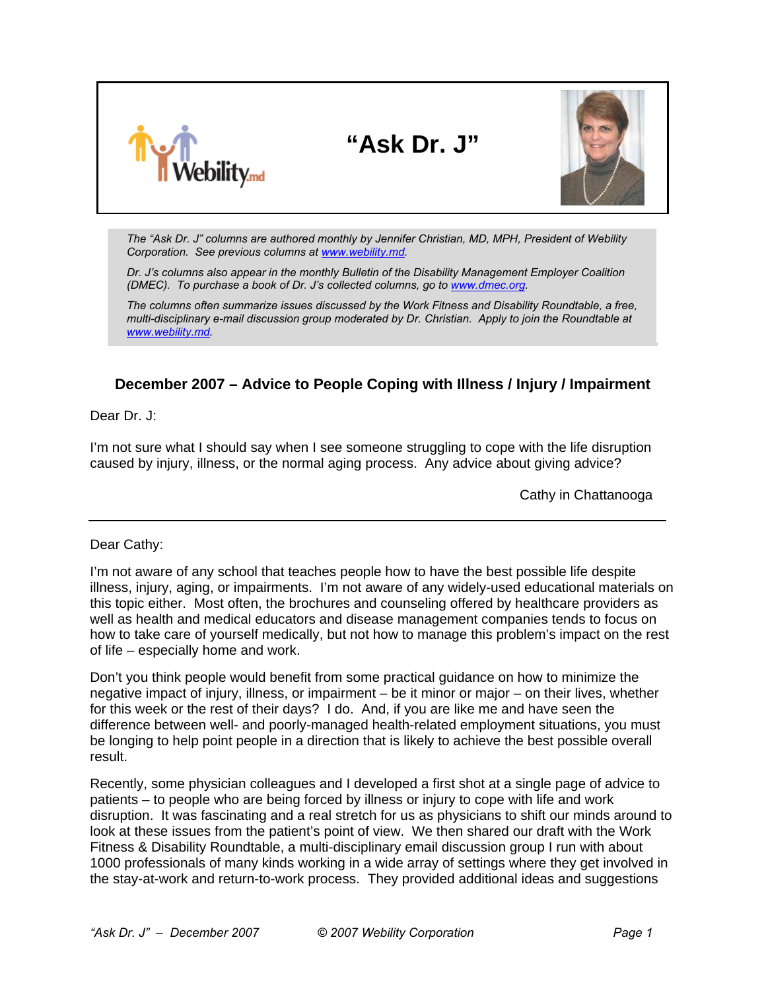

**"Ask Dr. J"** 



*The "Ask Dr. J" columns are authored monthly by Jennifer Christian, MD, MPH, President of Webility Corporation. See previous columns at [www.webility.md](http://www.webility.md/articles.htm).* 

*Dr. J's columns also appear in the monthly Bulletin of the Disability Management Employer Coalition (DMEC). To purchase a book of Dr. J's collected columns, go to [www.dmec.org.](http://www.dmec.org/)* 

*The columns often summarize issues discussed by the Work Fitness and Disability Roundtable, a free, multi-disciplinary e-mail discussion group moderated by Dr. Christian. Apply to join the Roundtable at [www.webility.md.](http://www.webility.md/)*

## **December 2007 – Advice to People Coping with Illness / Injury / Impairment**

Dear Dr. J:

I'm not sure what I should say when I see someone struggling to cope with the life disruption caused by injury, illness, or the normal aging process. Any advice about giving advice?

Cathy in Chattanooga

Dear Cathy:

I'm not aware of any school that teaches people how to have the best possible life despite illness, injury, aging, or impairments. I'm not aware of any widely-used educational materials on this topic either. Most often, the brochures and counseling offered by healthcare providers as well as health and medical educators and disease management companies tends to focus on how to take care of yourself medically, but not how to manage this problem's impact on the rest of life – especially home and work.

Don't you think people would benefit from some practical guidance on how to minimize the negative impact of injury, illness, or impairment – be it minor or major – on their lives, whether for this week or the rest of their days? I do. And, if you are like me and have seen the difference between well- and poorly-managed health-related employment situations, you must be longing to help point people in a direction that is likely to achieve the best possible overall result.

Recently, some physician colleagues and I developed a first shot at a single page of advice to patients – to people who are being forced by illness or injury to cope with life and work disruption. It was fascinating and a real stretch for us as physicians to shift our minds around to look at these issues from the patient's point of view. We then shared our draft with the Work Fitness & Disability Roundtable, a multi-disciplinary email discussion group I run with about 1000 professionals of many kinds working in a wide array of settings where they get involved in the stay-at-work and return-to-work process. They provided additional ideas and suggestions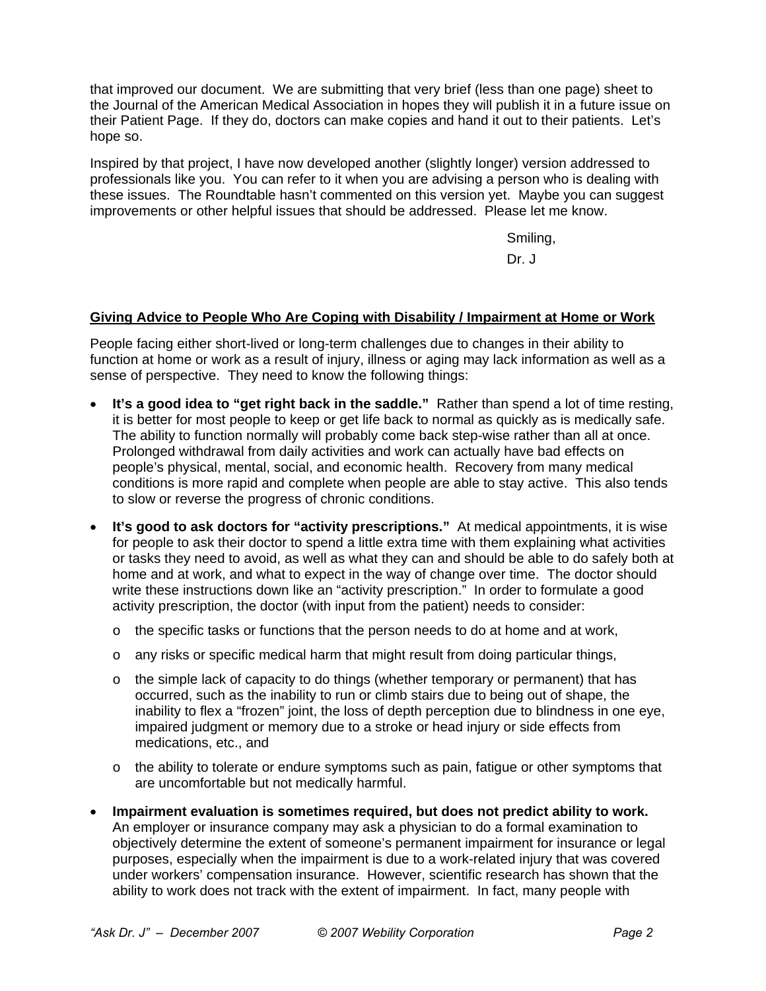that improved our document. We are submitting that very brief (less than one page) sheet to the Journal of the American Medical Association in hopes they will publish it in a future issue on their Patient Page. If they do, doctors can make copies and hand it out to their patients. Let's hope so.

Inspired by that project, I have now developed another (slightly longer) version addressed to professionals like you. You can refer to it when you are advising a person who is dealing with these issues. The Roundtable hasn't commented on this version yet. Maybe you can suggest improvements or other helpful issues that should be addressed. Please let me know.

Smiling,

Dr. J

## **Giving Advice to People Who Are Coping with Disability / Impairment at Home or Work**

People facing either short-lived or long-term challenges due to changes in their ability to function at home or work as a result of injury, illness or aging may lack information as well as a sense of perspective. They need to know the following things:

- **It's a good idea to "get right back in the saddle."** Rather than spend a lot of time resting, it is better for most people to keep or get life back to normal as quickly as is medically safe. The ability to function normally will probably come back step-wise rather than all at once. Prolonged withdrawal from daily activities and work can actually have bad effects on people's physical, mental, social, and economic health. Recovery from many medical conditions is more rapid and complete when people are able to stay active. This also tends to slow or reverse the progress of chronic conditions.
- **It's good to ask doctors for "activity prescriptions."** At medical appointments, it is wise for people to ask their doctor to spend a little extra time with them explaining what activities or tasks they need to avoid, as well as what they can and should be able to do safely both at home and at work, and what to expect in the way of change over time. The doctor should write these instructions down like an "activity prescription." In order to formulate a good activity prescription, the doctor (with input from the patient) needs to consider:
	- $\circ$  the specific tasks or functions that the person needs to do at home and at work,
	- $\circ$  any risks or specific medical harm that might result from doing particular things,
	- $\circ$  the simple lack of capacity to do things (whether temporary or permanent) that has occurred, such as the inability to run or climb stairs due to being out of shape, the inability to flex a "frozen" joint, the loss of depth perception due to blindness in one eye, impaired judgment or memory due to a stroke or head injury or side effects from medications, etc., and
	- $\circ$  the ability to tolerate or endure symptoms such as pain, fatigue or other symptoms that are uncomfortable but not medically harmful.
- **Impairment evaluation is sometimes required, but does not predict ability to work.** An employer or insurance company may ask a physician to do a formal examination to objectively determine the extent of someone's permanent impairment for insurance or legal purposes, especially when the impairment is due to a work-related injury that was covered under workers' compensation insurance. However, scientific research has shown that the ability to work does not track with the extent of impairment. In fact, many people with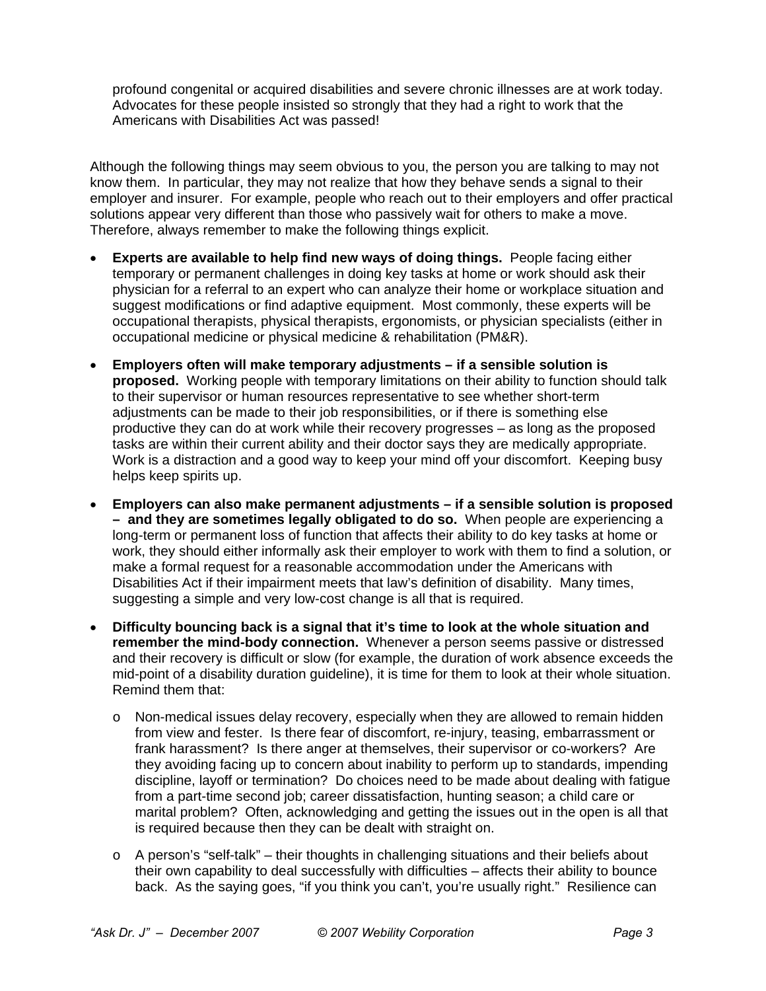profound congenital or acquired disabilities and severe chronic illnesses are at work today. Advocates for these people insisted so strongly that they had a right to work that the Americans with Disabilities Act was passed!

Although the following things may seem obvious to you, the person you are talking to may not know them. In particular, they may not realize that how they behave sends a signal to their employer and insurer. For example, people who reach out to their employers and offer practical solutions appear very different than those who passively wait for others to make a move. Therefore, always remember to make the following things explicit.

- **Experts are available to help find new ways of doing things.** People facing either temporary or permanent challenges in doing key tasks at home or work should ask their physician for a referral to an expert who can analyze their home or workplace situation and suggest modifications or find adaptive equipment. Most commonly, these experts will be occupational therapists, physical therapists, ergonomists, or physician specialists (either in occupational medicine or physical medicine & rehabilitation (PM&R).
- **Employers often will make temporary adjustments if a sensible solution is proposed.** Working people with temporary limitations on their ability to function should talk to their supervisor or human resources representative to see whether short-term adjustments can be made to their job responsibilities, or if there is something else productive they can do at work while their recovery progresses – as long as the proposed tasks are within their current ability and their doctor says they are medically appropriate. Work is a distraction and a good way to keep your mind off your discomfort. Keeping busy helps keep spirits up.
- **Employers can also make permanent adjustments if a sensible solution is proposed – and they are sometimes legally obligated to do so.** When people are experiencing a long-term or permanent loss of function that affects their ability to do key tasks at home or work, they should either informally ask their employer to work with them to find a solution, or make a formal request for a reasonable accommodation under the Americans with Disabilities Act if their impairment meets that law's definition of disability. Many times, suggesting a simple and very low-cost change is all that is required.
- **Difficulty bouncing back is a signal that it's time to look at the whole situation and remember the mind-body connection.** Whenever a person seems passive or distressed and their recovery is difficult or slow (for example, the duration of work absence exceeds the mid-point of a disability duration guideline), it is time for them to look at their whole situation. Remind them that:
	- o Non-medical issues delay recovery, especially when they are allowed to remain hidden from view and fester. Is there fear of discomfort, re-injury, teasing, embarrassment or frank harassment? Is there anger at themselves, their supervisor or co-workers? Are they avoiding facing up to concern about inability to perform up to standards, impending discipline, layoff or termination? Do choices need to be made about dealing with fatigue from a part-time second job; career dissatisfaction, hunting season; a child care or marital problem? Often, acknowledging and getting the issues out in the open is all that is required because then they can be dealt with straight on.
	- $\circ$  A person's "self-talk" their thoughts in challenging situations and their beliefs about their own capability to deal successfully with difficulties – affects their ability to bounce back. As the saying goes, "if you think you can't, you're usually right." Resilience can